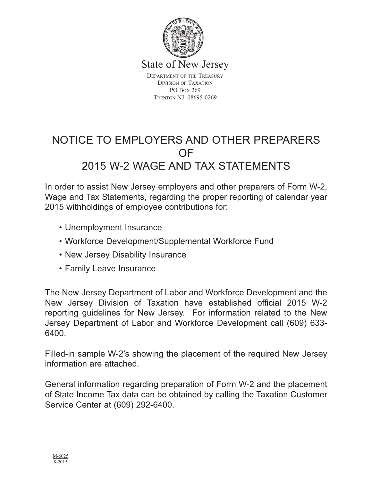

State of New Jersey

DEPARTMENT OF THE TREASURY DIVISION OF TAXATION PO BOX 269 TRENTON NJ 08695-0269

# NOTICE TO EMPLOYERS AND OTHER PREPARERS OF 2015 W-2 WAGE AND TAX STATEMENTS

In order to assist New Jersey employers and other preparers of Form W-2, Wage and Tax Statements, regarding the proper reporting of calendar year 2015 withholdings of employee contributions for:

- Unemployment Insurance
- Workforce Development/Supplemental Workforce Fund
- New Jersey Disability Insurance
- Family Leave Insurance

The New Jersey Department of Labor and Workforce Development and the New Jersey Division of Taxation have established official 2015 W-2 reporting guidelines for New Jersey. For information related to the New Jersey Department of Labor and Workforce Development call (609) 633- 6400.

Filled-in sample W-2's showing the placement of the required New Jersey information are attached.

General information regarding preparation of Form W-2 and the placement of State Income Tax data can be obtained by calling the Taxation Customer Service Center at (609) 292-6400.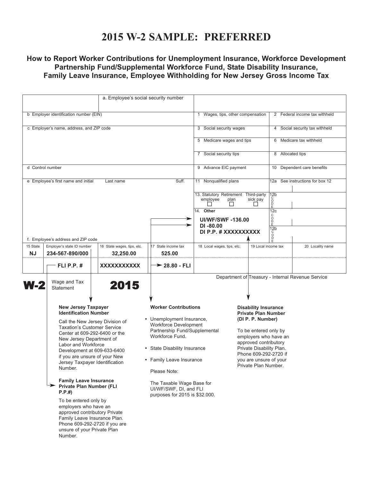### **2015 W-2 SAMPLE: PREFERRED**

### **How to Report Worker Contributions for Unemployment Insurance, Workforce Development Partnership Fund/Supplemental Workforce Fund, State Disability Insurance, Family Leave Insurance, Employee Withholding for New Jersey Gross Income Tax**

|                                                           |                                                                                                                                                                                                                                                                                                                                                                                                                                                                                                                                                                                                                 | a. Employee's social security number |                                                                                                                                                                                                                                                                                                                   |                                                          |                                                                                                                                                                                                                                                                  |                                    |                                                   |  |
|-----------------------------------------------------------|-----------------------------------------------------------------------------------------------------------------------------------------------------------------------------------------------------------------------------------------------------------------------------------------------------------------------------------------------------------------------------------------------------------------------------------------------------------------------------------------------------------------------------------------------------------------------------------------------------------------|--------------------------------------|-------------------------------------------------------------------------------------------------------------------------------------------------------------------------------------------------------------------------------------------------------------------------------------------------------------------|----------------------------------------------------------|------------------------------------------------------------------------------------------------------------------------------------------------------------------------------------------------------------------------------------------------------------------|------------------------------------|---------------------------------------------------|--|
|                                                           |                                                                                                                                                                                                                                                                                                                                                                                                                                                                                                                                                                                                                 |                                      |                                                                                                                                                                                                                                                                                                                   |                                                          |                                                                                                                                                                                                                                                                  |                                    |                                                   |  |
| b Employer identification number (EIN)                    |                                                                                                                                                                                                                                                                                                                                                                                                                                                                                                                                                                                                                 |                                      |                                                                                                                                                                                                                                                                                                                   | 1                                                        | Wages, tips, other compensation                                                                                                                                                                                                                                  |                                    | 2 Federal income tax withheld                     |  |
|                                                           | c Employer's name, address, and ZIP code                                                                                                                                                                                                                                                                                                                                                                                                                                                                                                                                                                        |                                      |                                                                                                                                                                                                                                                                                                                   | 3 Social security wages                                  |                                                                                                                                                                                                                                                                  |                                    | 4 Social security tax withheld                    |  |
|                                                           |                                                                                                                                                                                                                                                                                                                                                                                                                                                                                                                                                                                                                 |                                      |                                                                                                                                                                                                                                                                                                                   | 5 Medicare wages and tips                                |                                                                                                                                                                                                                                                                  |                                    | 6 Medicare tax withheld                           |  |
|                                                           |                                                                                                                                                                                                                                                                                                                                                                                                                                                                                                                                                                                                                 |                                      |                                                                                                                                                                                                                                                                                                                   | 7 Social security tips                                   |                                                                                                                                                                                                                                                                  | 8 Allocated tips                   |                                                   |  |
| d Control number                                          |                                                                                                                                                                                                                                                                                                                                                                                                                                                                                                                                                                                                                 |                                      |                                                                                                                                                                                                                                                                                                                   | 9 Advance EIC payment                                    |                                                                                                                                                                                                                                                                  | 10 Dependent care benefits         |                                                   |  |
| Suff.<br>e Employee's first name and initial<br>Last name |                                                                                                                                                                                                                                                                                                                                                                                                                                                                                                                                                                                                                 |                                      |                                                                                                                                                                                                                                                                                                                   | 11 Nonqualified plans                                    |                                                                                                                                                                                                                                                                  | See instructions for box 12<br>12a |                                                   |  |
|                                                           |                                                                                                                                                                                                                                                                                                                                                                                                                                                                                                                                                                                                                 |                                      |                                                                                                                                                                                                                                                                                                                   | 13. Statutory Retirement Third-party<br>employee<br>plan | sick pay                                                                                                                                                                                                                                                         | 12 <sub>b</sub><br>ŏ<br>D          |                                                   |  |
| -                                                         |                                                                                                                                                                                                                                                                                                                                                                                                                                                                                                                                                                                                                 |                                      |                                                                                                                                                                                                                                                                                                                   | 14. Other<br><b>UI/WF/SWF-136.00</b>                     |                                                                                                                                                                                                                                                                  | 12c<br>C<br>O<br>D<br>E            |                                                   |  |
|                                                           |                                                                                                                                                                                                                                                                                                                                                                                                                                                                                                                                                                                                                 |                                      |                                                                                                                                                                                                                                                                                                                   | $DI - 80.00$<br>DI P.P. # XXXXXXXXXX                     |                                                                                                                                                                                                                                                                  | 12 <sub>b</sub><br>Ó<br>Ď          |                                                   |  |
| 15 State                                                  | f. Employee's address and ZIP code<br>Employer's state ID number                                                                                                                                                                                                                                                                                                                                                                                                                                                                                                                                                | 16 State wages, tips, etc.           | 17 State income tax                                                                                                                                                                                                                                                                                               | 18 Local wages, tips, etc.                               |                                                                                                                                                                                                                                                                  | 19 Local income tax                | 20 Locality name                                  |  |
| NJ                                                        | 234-567-890/000                                                                                                                                                                                                                                                                                                                                                                                                                                                                                                                                                                                                 | 32,250.00                            | 525.00                                                                                                                                                                                                                                                                                                            |                                                          |                                                                                                                                                                                                                                                                  |                                    |                                                   |  |
|                                                           | <b>FLI P.P. #</b>                                                                                                                                                                                                                                                                                                                                                                                                                                                                                                                                                                                               | XXXXXXXXXXX                          | $\rightarrow$ 28.80 - FLI                                                                                                                                                                                                                                                                                         |                                                          |                                                                                                                                                                                                                                                                  |                                    |                                                   |  |
| W-2                                                       | Wage and Tax<br><b>Statement</b>                                                                                                                                                                                                                                                                                                                                                                                                                                                                                                                                                                                | 2015                                 |                                                                                                                                                                                                                                                                                                                   |                                                          |                                                                                                                                                                                                                                                                  |                                    | Department of Treasury - Internal Revenue Service |  |
|                                                           | <b>New Jersey Taxpayer</b><br><b>Identification Number</b><br>Call the New Jersey Division of<br><b>Taxation's Customer Service</b><br>Center at 609-292-6400 or the<br>New Jersey Department of<br>Labor and Workforce<br>Development at 609-633-6400<br>if you are unsure of your New<br>Jersey Taxpayer Identification<br>Number.<br><b>Family Leave Insurance</b><br><b>Private Plan Number (FLI</b><br>P.P.#<br>To be entered only by<br>employers who have an<br>approved contributory Private<br>Family Leave Insurance Plan.<br>Phone 609-292-2720 if you are<br>unsure of your Private Plan<br>Number. |                                      | <b>Worker Contributions</b><br>• Unemployment Insurance,<br><b>Workforce Development</b><br>Partnership Fund/Supplemental<br>Workforce Fund.<br>• State Disability Insurance<br>• Family Leave Insurance<br>Please Note:<br>The Taxable Wage Base for<br>UI/WF/SWF, DI, and FLI<br>purposes for 2015 is \$32.000. |                                                          | <b>Disability Insurance</b><br><b>Private Plan Number</b><br>(DI P. P. Number)<br>To be entered only by<br>employers who have an<br>approved contributory<br>Private Disability Plan.<br>Phone 609-292-2720 if<br>you are unsure of your<br>Private Plan Number. |                                    |                                                   |  |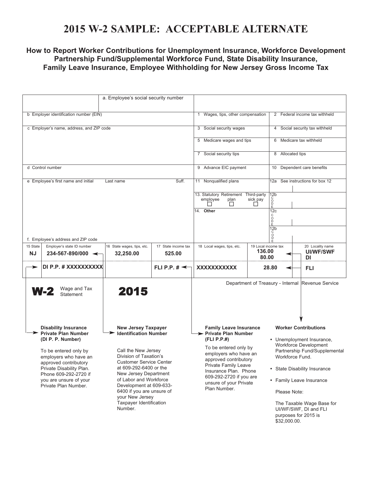## **2015 W-2 SAMPLE: ACCEPTABLE ALTERNATE**

#### **How to Report Worker Contributions for Unemployment Insurance, Workforce Development Partnership Fund/Supplemental Workforce Fund, State Disability Insurance, Family Leave Insurance, Employee Withholding for New Jersey Gross Income Tax**

| b Employer identification number (EIN)                                                                                                                                                                                                                                                                                                                                                                                                                                                                                                                                                                          | 1 Wages, tips, other compensation       |                                                                                                                                                                                                                                                                        | 2 Federal income tax withheld                                               |                                                                                                                                                                                                                                                                                                                 |                                 |                                                   |
|-----------------------------------------------------------------------------------------------------------------------------------------------------------------------------------------------------------------------------------------------------------------------------------------------------------------------------------------------------------------------------------------------------------------------------------------------------------------------------------------------------------------------------------------------------------------------------------------------------------------|-----------------------------------------|------------------------------------------------------------------------------------------------------------------------------------------------------------------------------------------------------------------------------------------------------------------------|-----------------------------------------------------------------------------|-----------------------------------------------------------------------------------------------------------------------------------------------------------------------------------------------------------------------------------------------------------------------------------------------------------------|---------------------------------|---------------------------------------------------|
| c Employer's name, address, and ZIP code                                                                                                                                                                                                                                                                                                                                                                                                                                                                                                                                                                        | 3 Social security wages                 |                                                                                                                                                                                                                                                                        | 4 Social security tax withheld                                              |                                                                                                                                                                                                                                                                                                                 |                                 |                                                   |
|                                                                                                                                                                                                                                                                                                                                                                                                                                                                                                                                                                                                                 |                                         |                                                                                                                                                                                                                                                                        | 5 Medicare wages and tips                                                   |                                                                                                                                                                                                                                                                                                                 | 6 Medicare tax withheld         |                                                   |
|                                                                                                                                                                                                                                                                                                                                                                                                                                                                                                                                                                                                                 |                                         |                                                                                                                                                                                                                                                                        | 7 Social security tips                                                      |                                                                                                                                                                                                                                                                                                                 | 8 Allocated tips                |                                                   |
| d Control number                                                                                                                                                                                                                                                                                                                                                                                                                                                                                                                                                                                                |                                         |                                                                                                                                                                                                                                                                        | 9 Advance EIC payment                                                       |                                                                                                                                                                                                                                                                                                                 | Dependent care benefits<br>10   |                                                   |
| e Employee's first name and initial                                                                                                                                                                                                                                                                                                                                                                                                                                                                                                                                                                             | Last name                               | Suff.                                                                                                                                                                                                                                                                  | 11 Nonqualified plans                                                       |                                                                                                                                                                                                                                                                                                                 | 12a See instructions for box 12 |                                                   |
|                                                                                                                                                                                                                                                                                                                                                                                                                                                                                                                                                                                                                 |                                         |                                                                                                                                                                                                                                                                        | 13. Statutory Retirement Third-party<br>employee<br>plan<br>ΙI<br>14. Other | $\frac{12b}{c}$<br>sick pay<br>$\bar{P}$<br>$\Box$<br>12c                                                                                                                                                                                                                                                       |                                 |                                                   |
| f. Employee's address and ZIP code                                                                                                                                                                                                                                                                                                                                                                                                                                                                                                                                                                              |                                         | С<br>O<br>D<br>E<br>12 <sub>b</sub><br>Ó                                                                                                                                                                                                                               |                                                                             |                                                                                                                                                                                                                                                                                                                 |                                 |                                                   |
| 15 State<br>Employer's state ID number<br><b>NJ</b><br>$234 - 567 - 890/000$ $\leftarrow$                                                                                                                                                                                                                                                                                                                                                                                                                                                                                                                       | 16 State wages, tips, etc.<br>32,250.00 | 17 State income tax<br>525.00                                                                                                                                                                                                                                          | 18 Local wages, tips, etc.                                                  | 19 Local income tax<br>136.00<br>80.00                                                                                                                                                                                                                                                                          |                                 | 20 Locality name<br><b>UI/WF/SWF</b><br>DI        |
| DI P.P. # XXXXXXXXXX                                                                                                                                                                                                                                                                                                                                                                                                                                                                                                                                                                                            |                                         | FLI P.P. $\sharp \preceq$                                                                                                                                                                                                                                              | <b>XXXXXXXXXXX</b>                                                          | 28.80                                                                                                                                                                                                                                                                                                           |                                 | FLI                                               |
| Wage and Tax<br>W-2<br><b>Statement</b>                                                                                                                                                                                                                                                                                                                                                                                                                                                                                                                                                                         | 2015                                    |                                                                                                                                                                                                                                                                        |                                                                             |                                                                                                                                                                                                                                                                                                                 |                                 | Department of Treasury - Internal Revenue Service |
| <b>Disability Insurance</b><br><b>New Jersey Taxpayer</b><br><b>Private Plan Number</b><br><b>Identification Number</b><br>(DI P. P. Number)<br>Call the New Jersey<br>To be entered only by<br>Division of Taxation's<br>employers who have an<br><b>Customer Service Center</b><br>approved contributory<br>at 609-292-6400 or the<br>Private Disability Plan.<br>New Jersey Department<br>Phone 609-292-2720 if<br>of Labor and Workforce<br>you are unsure of your<br>Development at 609-633-<br>Private Plan Number.<br>6400 if you are unsure of<br>your New Jersey<br>Taxpayer Identification<br>Number. |                                         | <b>Family Leave Insurance</b><br>> Private Plan Number<br>(FLI P.P.#)<br>To be entered only by<br>employers who have an<br>approved contributory<br>Private Family Leave<br>Insurance Plan. Phone<br>609-292-2720 if you are<br>unsure of your Private<br>Plan Number. |                                                                             | <b>Worker Contributions</b><br>• Unemployment Insurance,<br>Workforce Development<br>Partnership Fund/Supplemental<br>Workforce Fund.<br>• State Disability Insurance<br>• Family Leave Insurance<br>Please Note:<br>The Taxable Wage Base for<br>UI/WF/SWF, DI and FLI<br>purposes for 2015 is<br>\$32,000.00. |                                 |                                                   |